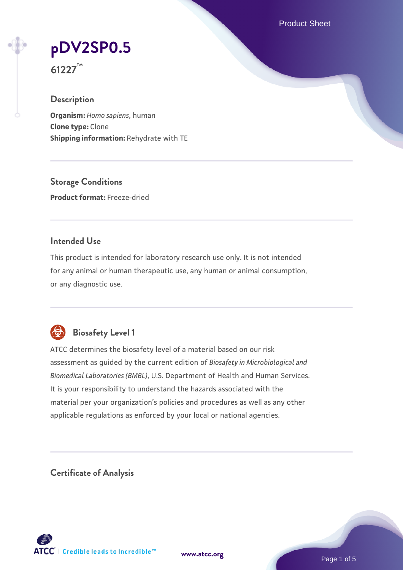Product Sheet



**61227™**

### **Description**

**Organism:** *Homo sapiens*, human **Clone type:** Clone **Shipping information:** Rehydrate with TE

**Storage Conditions Product format:** Freeze-dried

### **Intended Use**

This product is intended for laboratory research use only. It is not intended for any animal or human therapeutic use, any human or animal consumption, or any diagnostic use.



# **Biosafety Level 1**

ATCC determines the biosafety level of a material based on our risk assessment as guided by the current edition of *Biosafety in Microbiological and Biomedical Laboratories (BMBL)*, U.S. Department of Health and Human Services. It is your responsibility to understand the hazards associated with the material per your organization's policies and procedures as well as any other applicable regulations as enforced by your local or national agencies.

**Certificate of Analysis**

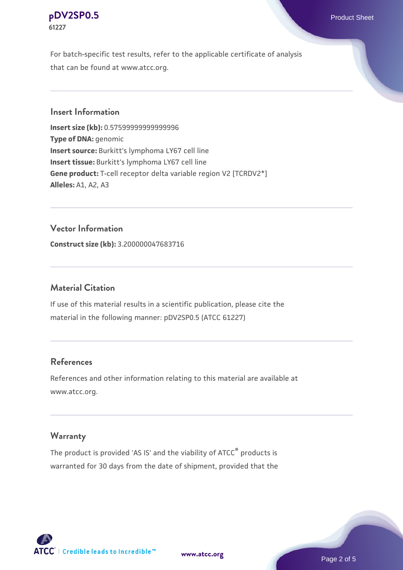#### **[pDV2SP0.5](https://www.atcc.org/products/61227)** Product Sheet **61227**

For batch-specific test results, refer to the applicable certificate of analysis that can be found at www.atcc.org.

### **Insert Information**

**Insert size (kb):** 0.57599999999999996 **Type of DNA:** genomic **Insert source:** Burkitt's lymphoma LY67 cell line **Insert tissue:** Burkitt's lymphoma LY67 cell line **Gene product:** T-cell receptor delta variable region V2 [TCRDV2\*] **Alleles:** A1, A2, A3

#### **Vector Information**

**Construct size (kb):** 3.200000047683716

#### **Material Citation**

If use of this material results in a scientific publication, please cite the material in the following manner: pDV2SP0.5 (ATCC 61227)

#### **References**

References and other information relating to this material are available at www.atcc.org.

#### **Warranty**

The product is provided 'AS IS' and the viability of ATCC® products is warranted for 30 days from the date of shipment, provided that the



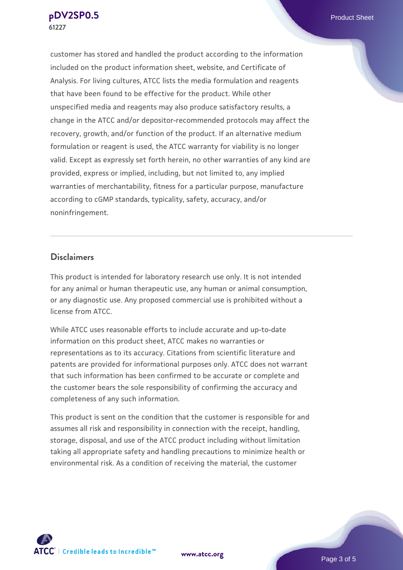customer has stored and handled the product according to the information included on the product information sheet, website, and Certificate of Analysis. For living cultures, ATCC lists the media formulation and reagents that have been found to be effective for the product. While other unspecified media and reagents may also produce satisfactory results, a change in the ATCC and/or depositor-recommended protocols may affect the recovery, growth, and/or function of the product. If an alternative medium formulation or reagent is used, the ATCC warranty for viability is no longer valid. Except as expressly set forth herein, no other warranties of any kind are provided, express or implied, including, but not limited to, any implied warranties of merchantability, fitness for a particular purpose, manufacture according to cGMP standards, typicality, safety, accuracy, and/or noninfringement.

#### **Disclaimers**

This product is intended for laboratory research use only. It is not intended for any animal or human therapeutic use, any human or animal consumption, or any diagnostic use. Any proposed commercial use is prohibited without a license from ATCC.

While ATCC uses reasonable efforts to include accurate and up-to-date information on this product sheet, ATCC makes no warranties or representations as to its accuracy. Citations from scientific literature and patents are provided for informational purposes only. ATCC does not warrant that such information has been confirmed to be accurate or complete and the customer bears the sole responsibility of confirming the accuracy and completeness of any such information.

This product is sent on the condition that the customer is responsible for and assumes all risk and responsibility in connection with the receipt, handling, storage, disposal, and use of the ATCC product including without limitation taking all appropriate safety and handling precautions to minimize health or environmental risk. As a condition of receiving the material, the customer



**[www.atcc.org](http://www.atcc.org)**

Page 3 of 5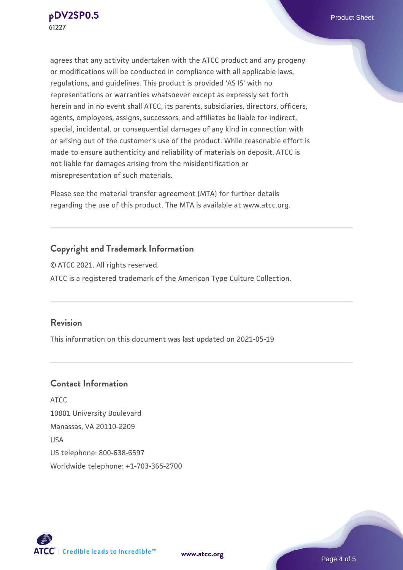agrees that any activity undertaken with the ATCC product and any progeny or modifications will be conducted in compliance with all applicable laws, regulations, and guidelines. This product is provided 'AS IS' with no representations or warranties whatsoever except as expressly set forth herein and in no event shall ATCC, its parents, subsidiaries, directors, officers, agents, employees, assigns, successors, and affiliates be liable for indirect, special, incidental, or consequential damages of any kind in connection with or arising out of the customer's use of the product. While reasonable effort is made to ensure authenticity and reliability of materials on deposit, ATCC is not liable for damages arising from the misidentification or misrepresentation of such materials.

Please see the material transfer agreement (MTA) for further details regarding the use of this product. The MTA is available at www.atcc.org.

## **Copyright and Trademark Information**

© ATCC 2021. All rights reserved. ATCC is a registered trademark of the American Type Culture Collection.

#### **Revision**

This information on this document was last updated on 2021-05-19

## **Contact Information**

ATCC 10801 University Boulevard Manassas, VA 20110-2209 USA US telephone: 800-638-6597 Worldwide telephone: +1-703-365-2700